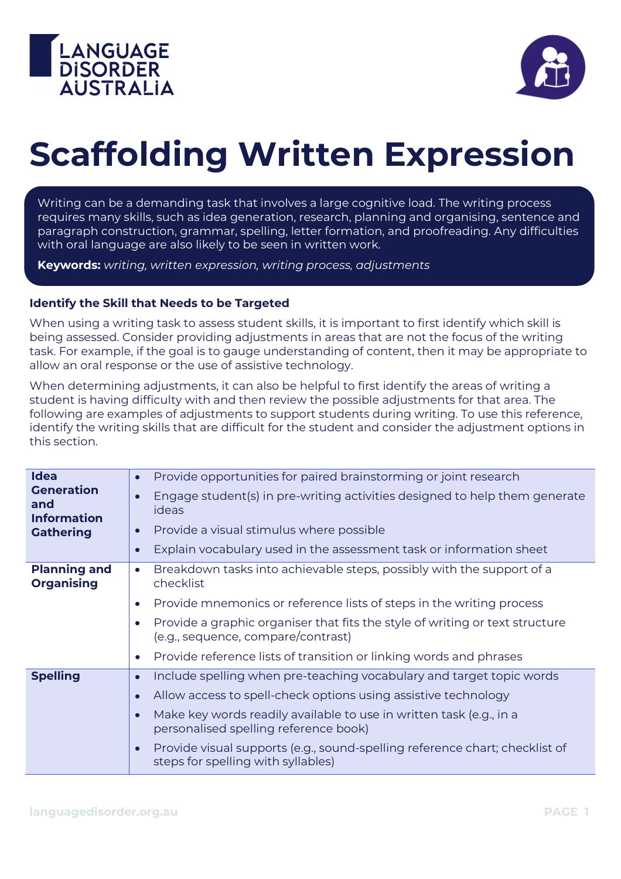



## **Scaffolding Written Expression**

Writing can be a demanding task that involves a large cognitive load. The writing process requires many skills, such as idea generation, research, planning and organising, sentence and paragraph construction, grammar, spelling, letter formation, and proofreading. Any difficulties with oral language are also likely to be seen in written work.

**Keywords:** *writing, written expression, writing process, adjustments*

## **Identify the Skill that Needs to be Targeted**

When using a writing task to assess student skills, it is important to first identify which skill is being assessed. Consider providing adjustments in areas that are not the focus of the writing task. For example, if the goal is to gauge understanding of content, then it may be appropriate to allow an oral response or the use of assistive technology.

When determining adjustments, it can also be helpful to first identify the areas of writing a student is having difficulty with and then review the possible adjustments for that area. The following are examples of adjustments to support students during writing. To use this reference, identify the writing skills that are difficult for the student and consider the adjustment options in this section.

| <b>Idea</b><br><b>Generation</b><br>and<br><b>Information</b><br><b>Gathering</b> | Provide opportunities for paired brainstorming or joint research<br>$\bullet$                                                  |
|-----------------------------------------------------------------------------------|--------------------------------------------------------------------------------------------------------------------------------|
|                                                                                   | Engage student(s) in pre-writing activities designed to help them generate<br>$\bullet$<br>ideas                               |
|                                                                                   | Provide a visual stimulus where possible<br>$\bullet$                                                                          |
|                                                                                   | Explain vocabulary used in the assessment task or information sheet<br>$\bullet$                                               |
| <b>Planning and</b><br><b>Organising</b>                                          | Breakdown tasks into achievable steps, possibly with the support of a<br>$\bullet$<br>checklist                                |
|                                                                                   | Provide mnemonics or reference lists of steps in the writing process<br>$\bullet$                                              |
|                                                                                   | Provide a graphic organiser that fits the style of writing or text structure<br>O<br>(e.g., sequence, compare/contrast)        |
|                                                                                   | Provide reference lists of transition or linking words and phrases<br>$\bullet$                                                |
| <b>Spelling</b>                                                                   | Include spelling when pre-teaching vocabulary and target topic words<br>$\bullet$                                              |
|                                                                                   | Allow access to spell-check options using assistive technology<br>$\bullet$                                                    |
|                                                                                   | Make key words readily available to use in written task (e.g., in a<br>$\bullet$<br>personalised spelling reference book)      |
|                                                                                   | Provide visual supports (e.g., sound-spelling reference chart; checklist of<br>$\bullet$<br>steps for spelling with syllables) |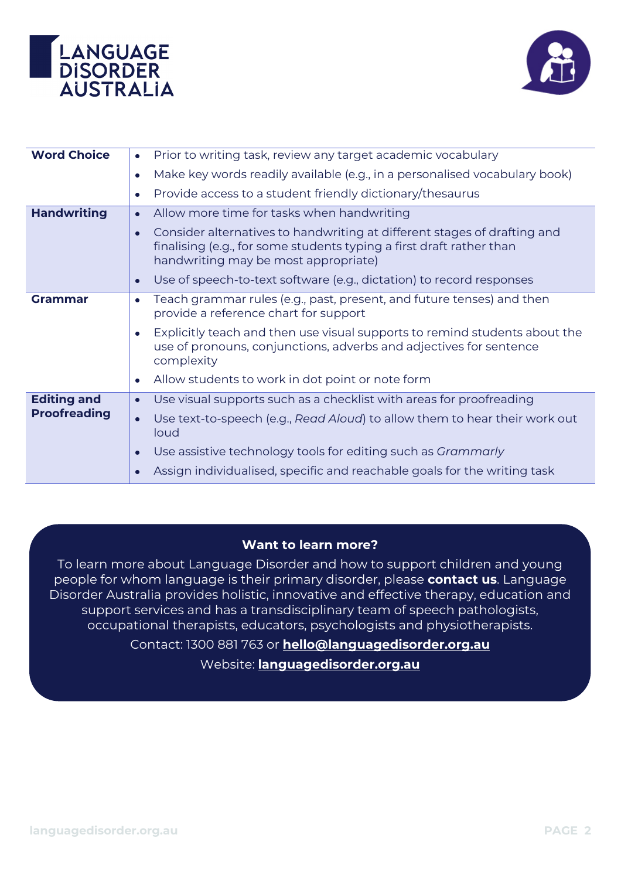



| <b>Word Choice</b>                        | Prior to writing task, review any target academic vocabulary<br>$\bullet$                                                                                                                |
|-------------------------------------------|------------------------------------------------------------------------------------------------------------------------------------------------------------------------------------------|
|                                           | Make key words readily available (e.g., in a personalised vocabulary book)<br>$\bullet$                                                                                                  |
|                                           | Provide access to a student friendly dictionary/thesaurus<br>$\bullet$                                                                                                                   |
| <b>Handwriting</b>                        | Allow more time for tasks when handwriting                                                                                                                                               |
|                                           | Consider alternatives to handwriting at different stages of drafting and<br>finalising (e.g., for some students typing a first draft rather than<br>handwriting may be most appropriate) |
|                                           | Use of speech-to-text software (e.g., dictation) to record responses                                                                                                                     |
| <b>Grammar</b>                            | Teach grammar rules (e.g., past, present, and future tenses) and then<br>$\bullet$<br>provide a reference chart for support                                                              |
|                                           | Explicitly teach and then use visual supports to remind students about the<br>use of pronouns, conjunctions, adverbs and adjectives for sentence<br>complexity                           |
|                                           | Allow students to work in dot point or note form                                                                                                                                         |
| <b>Editing and</b><br><b>Proofreading</b> | Use visual supports such as a checklist with areas for proofreading<br>$\bullet$                                                                                                         |
|                                           | Use text-to-speech (e.g., Read Aloud) to allow them to hear their work out<br>loud                                                                                                       |
|                                           | Use assistive technology tools for editing such as Grammarly                                                                                                                             |
|                                           | Assign individualised, specific and reachable goals for the writing task                                                                                                                 |

## **Want to learn more?**

To learn more about Language Disorder and how to support children and young people for whom language is their primary disorder, please **contact us**. Language Disorder Australia provides holistic, innovative and effective therapy, education and support services and has a transdisciplinary team of speech pathologists, occupational therapists, educators, psychologists and physiotherapists. Contact: 1300 881 763 or **[hello@languagedisorder.org.au](mailto:hello@languagedisorder.org.au)**

Website: **[languagedisorder.org.au](http://www.languagedisorder.org.au/)**